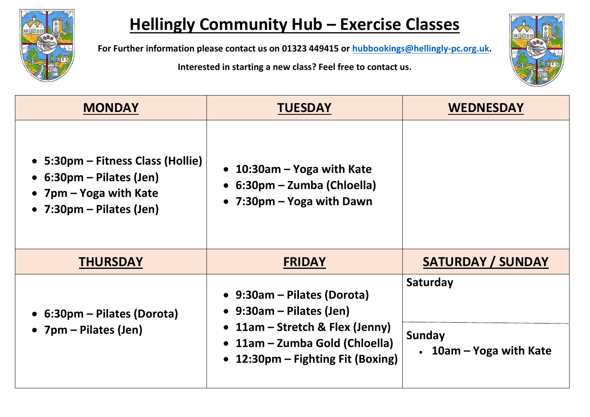

## **Hellingly Community Hub – Exercise Classes**

**For Further information please contact us on 01323 449415 or [hubbookings@hellingly-pc.org.uk.](mailto:hubbookings@hellingly-pc.org.uk)**

**Interested in starting a new class? Feel free to contact us.**



| <b>MONDAY</b>                                                                                                                           | <b>TUESDAY</b>                                                                                                                                                       | <b>WEDNESDAY</b>                              |
|-----------------------------------------------------------------------------------------------------------------------------------------|----------------------------------------------------------------------------------------------------------------------------------------------------------------------|-----------------------------------------------|
| • 5:30pm – Fitness Class (Hollie)<br>• $6:30 \text{pm}$ – Pilates (Jen)<br>• 7pm – Yoga with Kate<br>• $7:30 \text{pm}$ – Pilates (Jen) | • 10:30am – Yoga with Kate<br>$\bullet$ 6:30pm – Zumba (Chloella)<br>• 7:30pm – Yoga with Dawn                                                                       |                                               |
| <b>THURSDAY</b>                                                                                                                         | <b>FRIDAY</b>                                                                                                                                                        | <b>SATURDAY / SUNDAY</b>                      |
| • 6:30pm – Pilates (Dorota)<br>• $7 \text{pm} -$ Pilates (Jen)                                                                          | • 9:30am – Pilates (Dorota)<br>• $9:30$ am – Pilates (Jen)<br>• 11am – Stretch & Flex (Jenny)<br>• 11am – Zumba Gold (Chloella)<br>• 12:30pm – Fighting Fit (Boxing) | Saturday<br>Sunday<br>• 10am – Yoga with Kate |